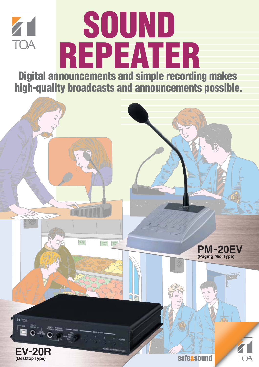

# **SOUND REPEATER**

**Digital announcements and simple recording makes high-quality broadcasts and announcements possible.**

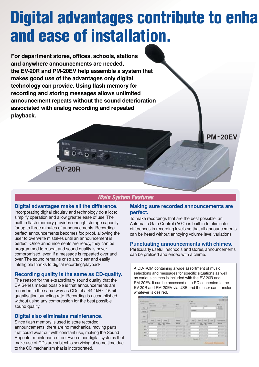### **Digital advantages contribute to enha and ease of installation.**

**For department stores, offices, schools, stations and anywhere announcements are needed, the EV-20R and PM-20EV help assemble a system that makes good use of the advantages only digital technology can provide. Using flash memory for recording and storing messages allows unlimited announcement repeats without the sound deterioration associated with analog recording and repeated playback.**

#### **Main System Features**

#### **Digital advantages make all the difference.**

**EV-20R**

Incorporating digital circuitry and technology do a lot to simplify operation and allow greater ease of use. The built-in flash memory provides enough storage capacity for up to three minutes of announcements. Recording perfect announcements becomes foolproof, allowing the user to overwrite mistakes until an announcement is perfect. Once announcements are ready, they can be programmed to repeat and sound quality is never compromised, even if a message is repeated over and over. The sound remains crisp and clear and easily intelligible thanks to digital recording/playback.

#### **Recording quality is the same as CD-quality.**

The reason for the extraordinary sound quality that the EV Series makes possible is that announcements are recorded in the same way as CDs at a 44.1kHz, 16 bit quantisation sampling rate. Recording is accomplished without using any compression for the best possible sound quality.

#### **Digital also eliminates maintenance.**

Since flash memory is used to store recorded announcements, there are no mechanical moving parts that could wear out with constant use, making the Sound Repeater maintenance-free. Even other digital systems that make use of CDs are subject to servicing at some time due to the CD mechanism that is incorporated.

#### **Making sure recorded announcements are perfect.**

**PM-20EV**

To make recordings that are the best possible, an Automatic Gain Control (AGC) is built-in to eliminate differences in recording levels so that all announcements can be heard without annoying volume level variations.

#### **Punctuating announcements with chimes.**

Particularly useful in schools and stores, announcements can be prefixed and ended with a chime.

A CD-ROM containing a wide assortment of music selections and messages for specific situations as well as various chimes is included with the EV-20R and PM-20EV. It can be accessed on a PC connected to the EV-20R and PM-20EV via USB and the user can transfer whatever is desired.

| 53.00           | ٠                    | <b>Superintend</b>                  | -                                            | 844<br><b>Bright</b> |
|-----------------|----------------------|-------------------------------------|----------------------------------------------|----------------------|
| <b>PEC</b>      | $1 + 1$              |                                     |                                              | 101221               |
| in.             |                      |                                     |                                              |                      |
|                 | ÷                    |                                     |                                              | line mercer          |
| <b>START I</b>  | <b>Address</b>       | <b><i><u>Little comment</u></i></b> | <b>ISO</b><br><b>TILESEE</b><br><b>State</b> | <b>British</b>       |
| 46 <sup>2</sup> | <b>TANK II</b>       |                                     |                                              | <b>HELL</b>          |
|                 |                      |                                     |                                              | п                    |
| <b>WITT</b>     | п<br>--              |                                     |                                              |                      |
| $+$             | <b>Separate</b><br>w |                                     |                                              |                      |
|                 |                      |                                     | ___                                          |                      |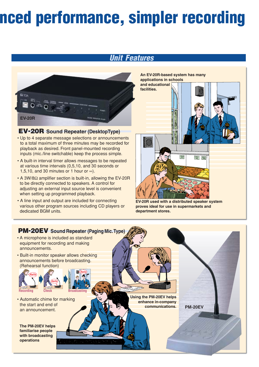## **nced performance, simpler recording**

### **Unit Features**



#### **EV-20R Sound Repeater (DesktopType)**

- Up to 4 separate message selections or announcements to a total maximum of three minutes may be recorded for playback as desired. Front panel-mounted recording inputs (mic./line switchable) keep the process simple.
- A built-in interval timer allows messages to be repeated at various time intervals (0,5,10, and 30 seconds or 1,5,10, and 30 minutes or 1 hour or  $\infty$ ).
- A 3W/8Ω amplifier section is built-in, allowing the EV-20R to be directly connected to speakers. A control for adjusting an external input source level is convenient when setting up programmed playback.
- A line input and output are included for connecting various other program sources including CD players or dedicated BGM units.



**EV-20R used with a distributed speaker system proves ideal for use in supermarkets and department stores.**